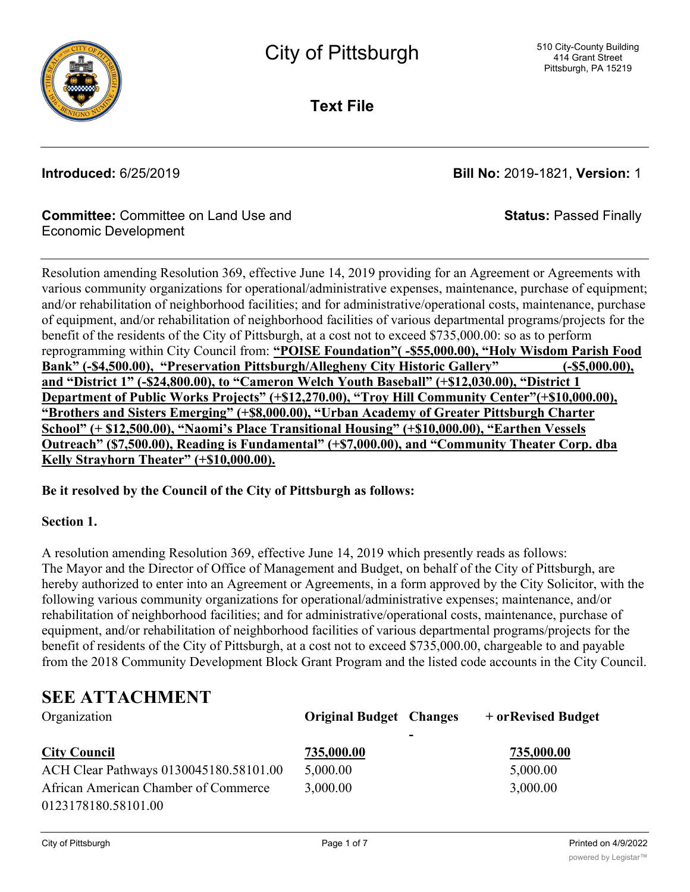

**Text File**

**Introduced:** 6/25/2019 **Bill No:** 2019-1821, **Version:** 1

**Status:** Passed Finally

### **Committee:** Committee on Land Use and Economic Development

Resolution amending Resolution 369, effective June 14, 2019 providing for an Agreement or Agreements with various community organizations for operational/administrative expenses, maintenance, purchase of equipment; and/or rehabilitation of neighborhood facilities; and for administrative/operational costs, maintenance, purchase of equipment, and/or rehabilitation of neighborhood facilities of various departmental programs/projects for the benefit of the residents of the City of Pittsburgh, at a cost not to exceed \$735,000.00: so as to perform reprogramming within City Council from: **"POISE Foundation"( -\$55,000.00), "Holy Wisdom Parish Food Bank" (-\$4,500.00), "Preservation Pittsburgh/Allegheny City Historic Gallery" (-\$5,000.00), and "District 1" (-\$24,800.00), to "Cameron Welch Youth Baseball" (+\$12,030.00), "District 1 Department of Public Works Projects" (+\$12,270.00), "Troy Hill Community Center"(+\$10,000.00), "Brothers and Sisters Emerging" (+\$8,000.00), "Urban Academy of Greater Pittsburgh Charter School" (+ \$12,500.00), "Naomi's Place Transitional Housing" (+\$10,000.00), "Earthen Vessels Outreach" (\$7,500.00), Reading is Fundamental" (+\$7,000.00), and "Community Theater Corp. dba Kelly Strayhorn Theater" (+\$10,000.00).**

### **Be it resolved by the Council of the City of Pittsburgh as follows:**

### **Section 1.**

A resolution amending Resolution 369, effective June 14, 2019 which presently reads as follows: The Mayor and the Director of Office of Management and Budget, on behalf of the City of Pittsburgh, are hereby authorized to enter into an Agreement or Agreements, in a form approved by the City Solicitor, with the following various community organizations for operational/administrative expenses; maintenance, and/or rehabilitation of neighborhood facilities; and for administrative/operational costs, maintenance, purchase of equipment, and/or rehabilitation of neighborhood facilities of various departmental programs/projects for the benefit of residents of the City of Pittsburgh, at a cost not to exceed \$735,000.00, chargeable to and payable from the 2018 Community Development Block Grant Program and the listed code accounts in the City Council.

# **SEE ATTACHMENT**

| Organization                           | <b>Original Budget Changes</b> |                          | + or Revised Budget |
|----------------------------------------|--------------------------------|--------------------------|---------------------|
|                                        |                                | $\overline{\phantom{0}}$ |                     |
| <b>City Council</b>                    | 735,000.00                     |                          | 735,000.00          |
| ACH Clear Pathways 0130045180.58101.00 | 5,000.00                       |                          | 5,000.00            |
| African American Chamber of Commerce   | 3,000.00                       |                          | 3,000.00            |
| 0123178180.58101.00                    |                                |                          |                     |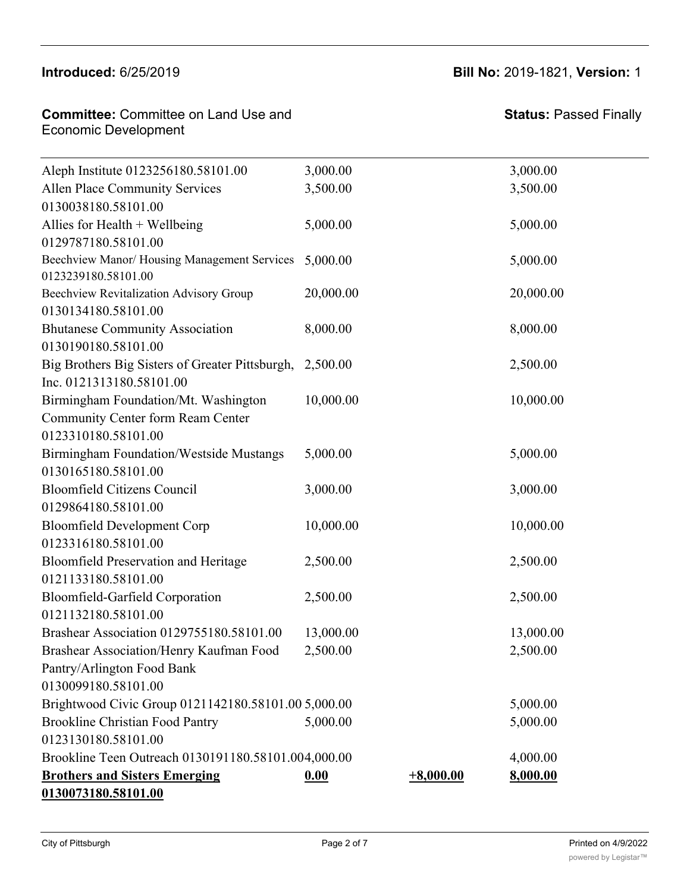# **Introduced:** 6/25/2019 **Bill No:** 2019-1821, **Version:** 1 **Revised Budget**

| <b>Committee:</b> Committee on Land Use and | Status: I |
|---------------------------------------------|-----------|
| <b>Economic Development</b>                 |           |

## **Status:** Passed Finally

| Aleph Institute 0123256180.58101.00                                | 3,000.00  |             | 3,000.00  |  |
|--------------------------------------------------------------------|-----------|-------------|-----------|--|
| Allen Place Community Services                                     | 3,500.00  |             | 3,500.00  |  |
| 0130038180.58101.00                                                |           |             |           |  |
| Allies for Health $+$ Wellbeing                                    | 5,000.00  |             | 5,000.00  |  |
| 0129787180.58101.00                                                |           |             |           |  |
| Beechview Manor/Housing Management Services<br>0123239180.58101.00 | 5,000.00  |             | 5,000.00  |  |
| Beechview Revitalization Advisory Group                            | 20,000.00 |             | 20,000.00 |  |
| 0130134180.58101.00                                                |           |             |           |  |
| <b>Bhutanese Community Association</b>                             | 8,000.00  |             | 8,000.00  |  |
| 0130190180.58101.00                                                |           |             |           |  |
| Big Brothers Big Sisters of Greater Pittsburgh,                    | 2,500.00  |             | 2,500.00  |  |
| Inc. 0121313180.58101.00                                           |           |             |           |  |
| Birmingham Foundation/Mt. Washington                               | 10,000.00 |             | 10,000.00 |  |
| Community Center form Ream Center                                  |           |             |           |  |
| 0123310180.58101.00                                                |           |             |           |  |
| Birmingham Foundation/Westside Mustangs                            | 5,000.00  |             | 5,000.00  |  |
| 0130165180.58101.00                                                |           |             |           |  |
| <b>Bloomfield Citizens Council</b>                                 | 3,000.00  |             | 3,000.00  |  |
| 0129864180.58101.00                                                |           |             |           |  |
| <b>Bloomfield Development Corp</b>                                 | 10,000.00 |             | 10,000.00 |  |
| 0123316180.58101.00                                                |           |             |           |  |
| <b>Bloomfield Preservation and Heritage</b>                        | 2,500.00  |             | 2,500.00  |  |
| 0121133180.58101.00                                                |           |             |           |  |
| Bloomfield-Garfield Corporation                                    | 2,500.00  |             | 2,500.00  |  |
| 0121132180.58101.00                                                |           |             |           |  |
| Brashear Association 0129755180.58101.00                           | 13,000.00 |             | 13,000.00 |  |
| Brashear Association/Henry Kaufman Food                            | 2,500.00  |             | 2,500.00  |  |
| Pantry/Arlington Food Bank                                         |           |             |           |  |
| 0130099180.58101.00                                                |           |             |           |  |
| Brightwood Civic Group 0121142180.58101.00 5,000.00                |           |             | 5,000.00  |  |
| <b>Brookline Christian Food Pantry</b>                             | 5,000.00  |             | 5,000.00  |  |
| 0123130180.58101.00                                                |           |             |           |  |
| Brookline Teen Outreach 0130191180.58101.004,000.00                |           |             | 4,000.00  |  |
| <b>Brothers and Sisters Emerging</b>                               | 0.00      | $+8,000.00$ | 8,000.00  |  |
| 0130073180.58101.00                                                |           |             |           |  |

0130100180.58101.00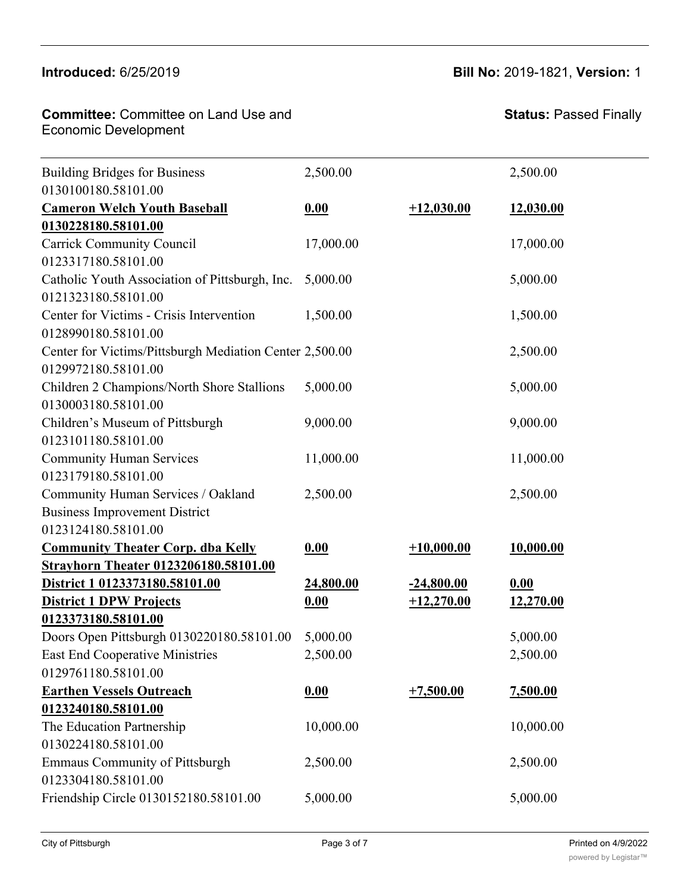### $\frac{1}{2}$ Brookline Christian Food Pantry

0130099180.58101.00

#### **Committee:** Committee on Land Use and Economic Development **Brothers and Sisters Emerging** Brookline Teen Outreach 0130191180.58101.004,000.00 4,000.00

| <b>Building Bridges for Business</b>                    | 2,500.00  |              | 2,500.00  |
|---------------------------------------------------------|-----------|--------------|-----------|
| 0130100180.58101.00                                     |           |              |           |
| <b>Cameron Welch Youth Baseball</b>                     | 0.00      | $+12,030.00$ | 12,030.00 |
| 0130228180.58101.00                                     |           |              |           |
| <b>Carrick Community Council</b>                        | 17,000.00 |              | 17,000.00 |
| 0123317180.58101.00                                     |           |              |           |
| Catholic Youth Association of Pittsburgh, Inc.          | 5,000.00  |              | 5,000.00  |
| 0121323180.58101.00                                     |           |              |           |
| Center for Victims - Crisis Intervention                | 1,500.00  |              | 1,500.00  |
| 0128990180.58101.00                                     |           |              |           |
| Center for Victims/Pittsburgh Mediation Center 2,500.00 |           |              | 2,500.00  |
| 0129972180.58101.00                                     |           |              |           |
| Children 2 Champions/North Shore Stallions              | 5,000.00  |              | 5,000.00  |
| 0130003180.58101.00                                     |           |              |           |
| Children's Museum of Pittsburgh                         | 9,000.00  |              | 9,000.00  |
| 0123101180.58101.00                                     |           |              |           |
| <b>Community Human Services</b>                         | 11,000.00 |              | 11,000.00 |
| 0123179180.58101.00                                     |           |              |           |
| Community Human Services / Oakland                      | 2,500.00  |              | 2,500.00  |
| <b>Business Improvement District</b>                    |           |              |           |
| 0123124180.58101.00                                     |           |              |           |
| <b>Community Theater Corp. dba Kelly</b>                | 0.00      | $+10,000.00$ | 10,000.00 |
| Strayhorn Theater 0123206180.58101.00                   |           |              |           |
| District 1 0123373180.58101.00                          | 24,800.00 | $-24,800.00$ | 0.00      |
| <b>District 1 DPW Projects</b>                          | 0.00      | $+12,270.00$ | 12,270.00 |
| 0123373180.58101.00                                     |           |              |           |
| Doors Open Pittsburgh 0130220180.58101.00               | 5,000.00  |              | 5,000.00  |
| East End Cooperative Ministries                         | 2,500.00  |              | 2,500.00  |
| 0129761180.58101.00                                     |           |              |           |
| <b>Earthen Vessels Outreach</b>                         | 0.00      | $+7,500.00$  | 7,500.00  |
| 0123240180.58101.00                                     |           |              |           |
| The Education Partnership                               | 10,000.00 |              | 10,000.00 |
| 0130224180.58101.00                                     |           |              |           |
| <b>Emmaus Community of Pittsburgh</b>                   | 2,500.00  |              | 2,500.00  |
| 0123304180.58101.00                                     |           |              |           |
| Friendship Circle 0130152180.58101.00                   | 5,000.00  |              | 5,000.00  |
|                                                         |           |              |           |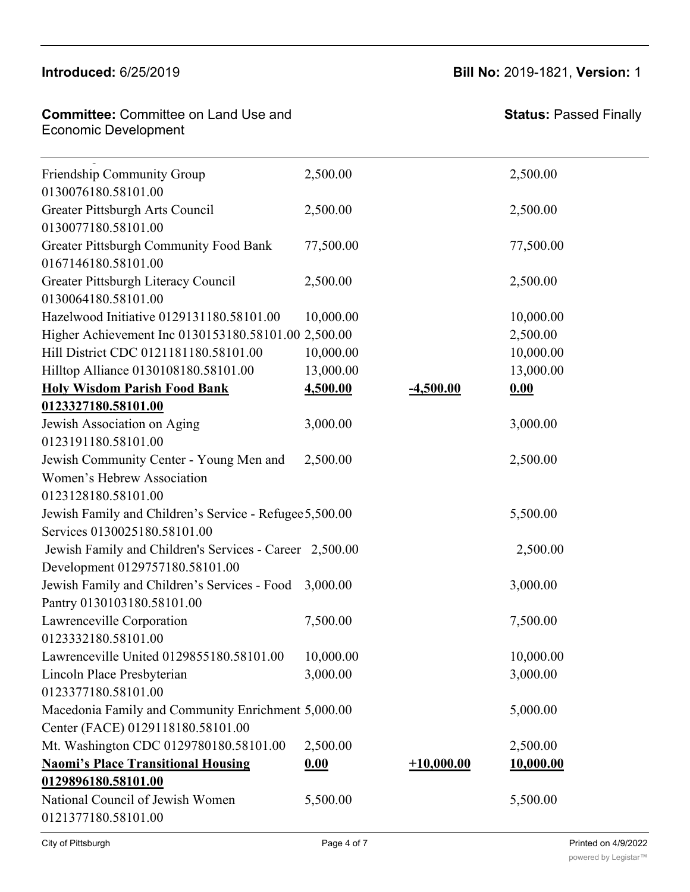**Earthen Vessels Outreach**

# **Introduced:** 6/25/2019 **Bill No:** 2019-1821, **Version:** 1

**0.00 +7,500.00 7,500.00**

| <b>Committee: Committee on Land Use and</b> |  |
|---------------------------------------------|--|
| Economic Development                        |  |
|                                             |  |

| Friendship Community Group                              | 2,500.00  |              | 2,500.00  |  |
|---------------------------------------------------------|-----------|--------------|-----------|--|
| 0130076180.58101.00                                     |           |              |           |  |
| Greater Pittsburgh Arts Council                         | 2,500.00  |              | 2,500.00  |  |
| 0130077180.58101.00                                     |           |              |           |  |
| <b>Greater Pittsburgh Community Food Bank</b>           | 77,500.00 |              | 77,500.00 |  |
| 0167146180.58101.00                                     |           |              |           |  |
| Greater Pittsburgh Literacy Council                     | 2,500.00  |              | 2,500.00  |  |
| 0130064180.58101.00                                     |           |              |           |  |
| Hazelwood Initiative 0129131180.58101.00                | 10,000.00 |              | 10,000.00 |  |
| Higher Achievement Inc 0130153180.58101.00 2,500.00     |           |              | 2,500.00  |  |
| Hill District CDC 0121181180.58101.00                   | 10,000.00 |              | 10,000.00 |  |
| Hilltop Alliance 0130108180.58101.00                    | 13,000.00 |              | 13,000.00 |  |
| <b>Holy Wisdom Parish Food Bank</b>                     | 4,500.00  | $-4,500.00$  | 0.00      |  |
| 0123327180.58101.00                                     |           |              |           |  |
| Jewish Association on Aging                             | 3,000.00  |              | 3,000.00  |  |
| 0123191180.58101.00                                     |           |              |           |  |
| Jewish Community Center - Young Men and                 | 2,500.00  |              | 2,500.00  |  |
| Women's Hebrew Association                              |           |              |           |  |
| 0123128180.58101.00                                     |           |              |           |  |
| Jewish Family and Children's Service - Refugee 5,500.00 |           |              | 5,500.00  |  |
| Services 0130025180.58101.00                            |           |              |           |  |
| Jewish Family and Children's Services - Career 2,500.00 |           |              | 2,500.00  |  |
| Development 0129757180.58101.00                         |           |              |           |  |
| Jewish Family and Children's Services - Food            | 3,000.00  |              | 3,000.00  |  |
| Pantry 0130103180.58101.00                              |           |              |           |  |
| Lawrenceville Corporation                               | 7,500.00  |              | 7,500.00  |  |
| 0123332180.58101.00                                     |           |              |           |  |
| Lawrenceville United 0129855180.58101.00                | 10,000.00 |              | 10,000.00 |  |
| Lincoln Place Presbyterian                              | 3,000.00  |              | 3,000.00  |  |
| 0123377180.58101.00                                     |           |              |           |  |
| Macedonia Family and Community Enrichment 5,000.00      |           |              | 5,000.00  |  |
| Center (FACE) 0129118180.58101.00                       |           |              |           |  |
| Mt. Washington CDC 0129780180.58101.00                  | 2,500.00  |              | 2,500.00  |  |
| <b>Naomi's Place Transitional Housing</b>               | 0.00      | $+10,000.00$ | 10,000.00 |  |
| 0129896180.58101.00                                     |           |              |           |  |
| National Council of Jewish Women                        | 5,500.00  |              | 5,500.00  |  |
| 0121377180.58101.00                                     |           |              |           |  |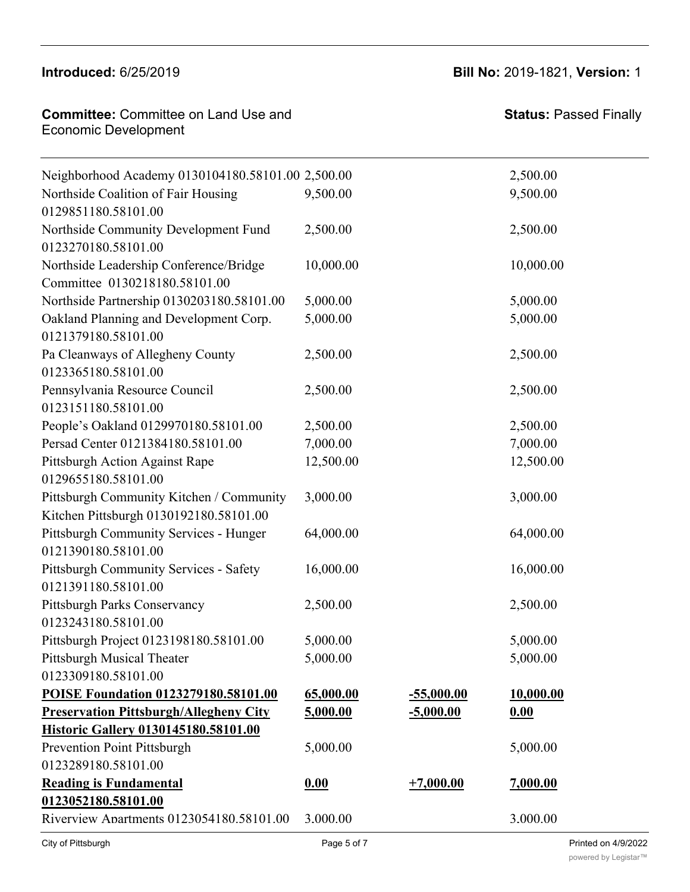**Committee:** Committee on Land Use and

**Naomi's Place Transitional Housing**

Macedonia Family and Community Enrichment

**Introduced:** 6/25/2019 **Bill No:** 2019-1821, **Version:** 1

5,000.00 5,000.00

**0.00 +10,000.00 10,000.00**

| <b>UUIIIIIIIIIIIIII</b> UUIIIIIIIIICC UII Lahu USC anu<br><b>Economic Development</b> |            |              | Ulalus. I assuu I IIIaliy |  |
|---------------------------------------------------------------------------------------|------------|--------------|---------------------------|--|
| Neighborhood Academy 0130104180.58101.00 2,500.00                                     |            |              | 2,500.00                  |  |
| Northside Coalition of Fair Housing<br>0129851180.58101.00                            | 9,500.00   |              | 9,500.00                  |  |
| Northside Community Development Fund<br>0123270180.58101.00                           | 2,500.00   |              | 2,500.00                  |  |
| Northside Leadership Conference/Bridge<br>Committee 0130218180.58101.00               | 10,000.00  |              | 10,000.00                 |  |
| Northside Partnership 0130203180.58101.00                                             | 5,000.00   |              | 5,000.00                  |  |
| Oakland Planning and Development Corp.<br>0121379180.58101.00                         | 5,000.00   |              | 5,000.00                  |  |
| Pa Cleanways of Allegheny County<br>0123365180.58101.00                               | 2,500.00   |              | 2,500.00                  |  |
| Pennsylvania Resource Council<br>0123151180.58101.00                                  | 2,500.00   |              | 2,500.00                  |  |
| People's Oakland 0129970180.58101.00                                                  | 2,500.00   |              | 2,500.00                  |  |
| Persad Center 0121384180.58101.00                                                     | 7,000.00   |              | 7,000.00                  |  |
| Pittsburgh Action Against Rape<br>0129655180.58101.00                                 | 12,500.00  |              | 12,500.00                 |  |
| Pittsburgh Community Kitchen / Community<br>Kitchen Pittsburgh 0130192180.58101.00    | 3,000.00   |              | 3,000.00                  |  |
| Pittsburgh Community Services - Hunger<br>0121390180.58101.00                         | 64,000.00  |              | 64,000.00                 |  |
| <b>Pittsburgh Community Services - Safety</b><br>0121391180.58101.00                  | 16,000.00  |              | 16,000.00                 |  |
| Pittsburgh Parks Conservancy<br>0123243180.58101.00                                   | 2,500.00   |              | 2,500.00                  |  |
| Pittsburgh Project 0123198180.58101.00                                                | 5,000.00   |              | 5,000.00                  |  |
| <b>Pittsburgh Musical Theater</b><br>0123309180.58101.00                              | 5,000.00   |              | 5,000.00                  |  |
| POISE Foundation 0123279180.58101.00                                                  | 65,000.00  | $-55,000.00$ | 10,000.00                 |  |
| <b>Preservation Pittsburgh/Allegheny City</b>                                         | 5,000.00   | $-5,000.00$  | 0.00                      |  |
| Historic Gallery 0130145180.58101.00                                                  |            |              |                           |  |
| <b>Prevention Point Pittsburgh</b>                                                    | 5,000.00   |              | 5,000.00                  |  |
| 0123289180.58101.00                                                                   |            |              |                           |  |
| <b>Reading is Fundamental</b>                                                         | 0.00       | $+7,000.00$  | 7,000.00                  |  |
| 0123052180.58101.00<br>Riverview Anartments 0123054180.58101.00                       | 3.000.00   |              | 3.000.00                  |  |
| City of Ditteburgh                                                                    | Dao 5 of 7 |              | Printed on 110/2022       |  |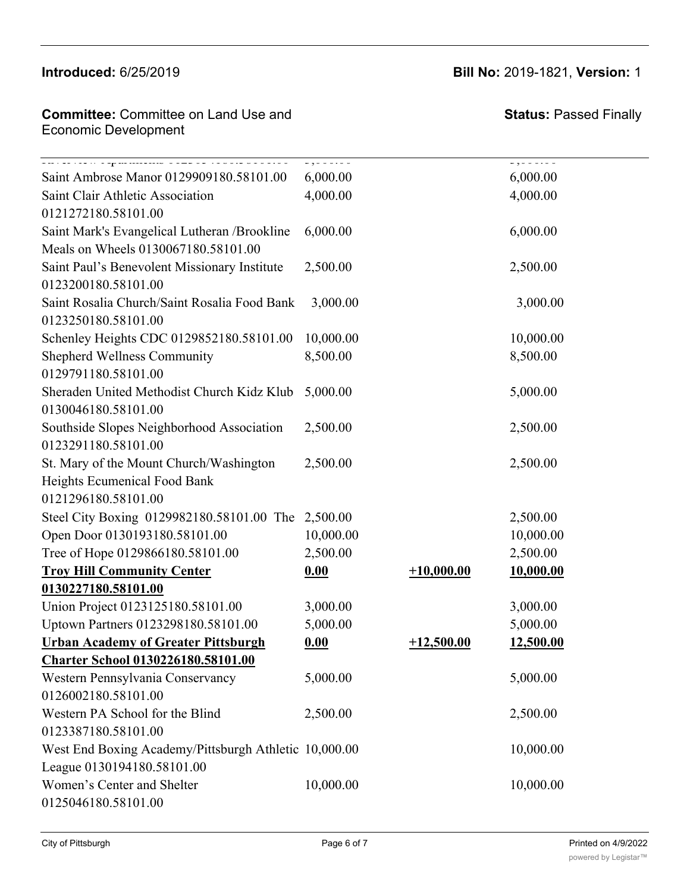## **Committee: Committee on Land Use and** Economic Development **Reading is Fundamental 0123052180.58101.00**

**Preservation Pittsburgh/Allegheny City**

| Saint Ambrose Manor 0129909180.58101.00               | 6,000.00  |              | $\overline{\phantom{a}}$<br>6,000.00 |
|-------------------------------------------------------|-----------|--------------|--------------------------------------|
| Saint Clair Athletic Association                      | 4,000.00  |              | 4,000.00                             |
| 0121272180.58101.00                                   |           |              |                                      |
| Saint Mark's Evangelical Lutheran / Brookline         | 6,000.00  |              | 6,000.00                             |
| Meals on Wheels 0130067180.58101.00                   |           |              |                                      |
| Saint Paul's Benevolent Missionary Institute          | 2,500.00  |              | 2,500.00                             |
| 0123200180.58101.00                                   |           |              |                                      |
| Saint Rosalia Church/Saint Rosalia Food Bank          | 3,000.00  |              | 3,000.00                             |
| 0123250180.58101.00                                   |           |              |                                      |
| Schenley Heights CDC 0129852180.58101.00              | 10,000.00 |              | 10,000.00                            |
| <b>Shepherd Wellness Community</b>                    | 8,500.00  |              | 8,500.00                             |
| 0129791180.58101.00                                   |           |              |                                      |
| Sheraden United Methodist Church Kidz Klub            | 5,000.00  |              | 5,000.00                             |
| 0130046180.58101.00                                   |           |              |                                      |
| Southside Slopes Neighborhood Association             | 2,500.00  |              | 2,500.00                             |
| 0123291180.58101.00                                   |           |              |                                      |
| St. Mary of the Mount Church/Washington               | 2,500.00  |              | 2,500.00                             |
| Heights Ecumenical Food Bank                          |           |              |                                      |
| 0121296180.58101.00                                   |           |              |                                      |
| Steel City Boxing 0129982180.58101.00 The 2,500.00    |           |              | 2,500.00                             |
| Open Door 0130193180.58101.00                         | 10,000.00 |              | 10,000.00                            |
| Tree of Hope 0129866180.58101.00                      | 2,500.00  |              | 2,500.00                             |
| <b>Troy Hill Community Center</b>                     | 0.00      | $+10,000.00$ | 10,000.00                            |
| 0130227180.58101.00                                   |           |              |                                      |
| Union Project 0123125180.58101.00                     | 3,000.00  |              | 3,000.00                             |
| Uptown Partners 0123298180.58101.00                   | 5,000.00  |              | 5,000.00                             |
| <b>Urban Academy of Greater Pittsburgh</b>            | 0.00      | $+12,500.00$ | 12,500.00                            |
| <u>Charter School 0130226180.58101.00</u>             |           |              |                                      |
| Western Pennsylvania Conservancy                      | 5,000.00  |              | 5,000.00                             |
| 0126002180.58101.00                                   |           |              |                                      |
| Western PA School for the Blind                       | 2,500.00  |              | 2,500.00                             |
| 0123387180.58101.00                                   |           |              |                                      |
| West End Boxing Academy/Pittsburgh Athletic 10,000.00 |           |              | 10,000.00                            |
| League 0130194180.58101.00                            |           |              |                                      |
| Women's Center and Shelter                            | 10,000.00 |              | 10,000.00                            |
| 0125046180.58101.00                                   |           |              |                                      |

**Introduced:** 6/25/2019 **Bill No:** 2019-1821, **Version:** 1

**5,000.00 -5,000.00 0.00**

**0.00 +7,000.00 7,000.00**